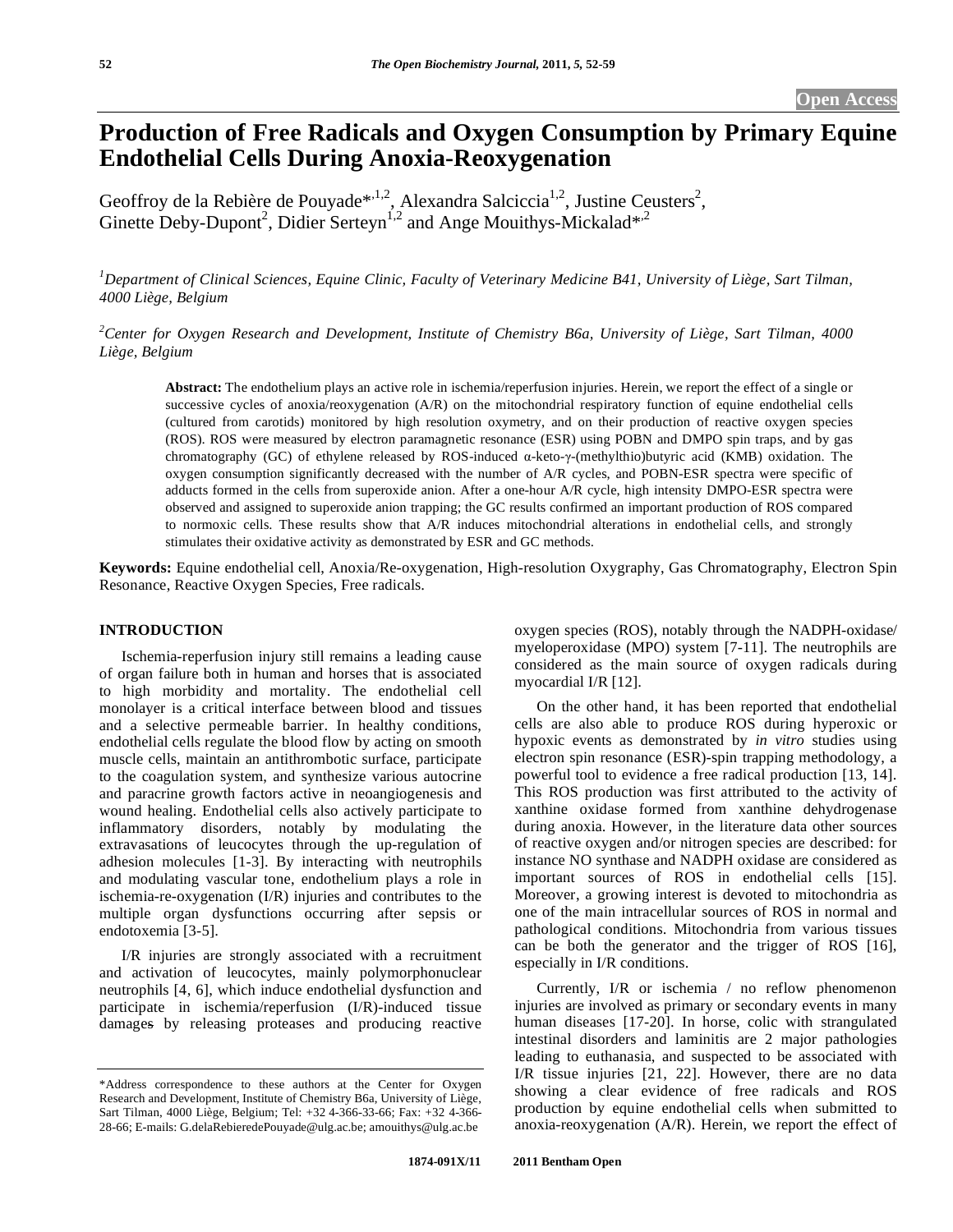# **Production of Free Radicals and Oxygen Consumption by Primary Equine Endothelial Cells During Anoxia-Reoxygenation**

Geoffroy de la Rebière de Pouyade<sup>\*,1,2</sup>, Alexandra Salciccia<sup>1,2</sup>, Justine Ceusters<sup>2</sup>, Ginette Deby-Dupont<sup>2</sup>, Didier Serteyn<sup>1,2</sup> and Ange Mouithys-Mickalad\*<sup>2</sup>

<sup>1</sup>Department of Clinical Sciences, Equine Clinic, Faculty of Veterinary Medicine B41, University of Liège, Sart Tilman, *4000 Liège, Belgium* 

*2 Center for Oxygen Research and Development, Institute of Chemistry B6a, University of Liège, Sart Tilman, 4000 Liège, Belgium* 

**Abstract:** The endothelium plays an active role in ischemia/reperfusion injuries. Herein, we report the effect of a single or successive cycles of anoxia/reoxygenation (A/R) on the mitochondrial respiratory function of equine endothelial cells (cultured from carotids) monitored by high resolution oxymetry, and on their production of reactive oxygen species (ROS). ROS were measured by electron paramagnetic resonance (ESR) using POBN and DMPO spin traps, and by gas chromatography (GC) of ethylene released by ROS-induced  $\alpha$ -keto- $\gamma$ -(methylthio)butyric acid (KMB) oxidation. The oxygen consumption significantly decreased with the number of A/R cycles, and POBN-ESR spectra were specific of adducts formed in the cells from superoxide anion. After a one-hour A/R cycle, high intensity DMPO-ESR spectra were observed and assigned to superoxide anion trapping; the GC results confirmed an important production of ROS compared to normoxic cells. These results show that A/R induces mitochondrial alterations in endothelial cells, and strongly stimulates their oxidative activity as demonstrated by ESR and GC methods.

**Keywords:** Equine endothelial cell, Anoxia/Re-oxygenation, High-resolution Oxygraphy, Gas Chromatography, Electron Spin Resonance, Reactive Oxygen Species, Free radicals.

#### **INTRODUCTION**

 Ischemia-reperfusion injury still remains a leading cause of organ failure both in human and horses that is associated to high morbidity and mortality. The endothelial cell monolayer is a critical interface between blood and tissues and a selective permeable barrier. In healthy conditions, endothelial cells regulate the blood flow by acting on smooth muscle cells, maintain an antithrombotic surface, participate to the coagulation system, and synthesize various autocrine and paracrine growth factors active in neoangiogenesis and wound healing. Endothelial cells also actively participate to inflammatory disorders, notably by modulating the extravasations of leucocytes through the up-regulation of adhesion molecules [1-3]. By interacting with neutrophils and modulating vascular tone, endothelium plays a role in ischemia-re-oxygenation (I/R) injuries and contributes to the multiple organ dysfunctions occurring after sepsis or endotoxemia [3-5].

 I/R injuries are strongly associated with a recruitment and activation of leucocytes, mainly polymorphonuclear neutrophils [4, 6], which induce endothelial dysfunction and participate in ischemia/reperfusion (I/R)-induced tissue damages by releasing proteases and producing reactive

oxygen species (ROS), notably through the NADPH-oxidase/ myeloperoxidase (MPO) system [7-11]. The neutrophils are considered as the main source of oxygen radicals during myocardial I/R [12].

 On the other hand, it has been reported that endothelial cells are also able to produce ROS during hyperoxic or hypoxic events as demonstrated by *in vitro* studies using electron spin resonance (ESR)-spin trapping methodology, a powerful tool to evidence a free radical production [13, 14]. This ROS production was first attributed to the activity of xanthine oxidase formed from xanthine dehydrogenase during anoxia. However, in the literature data other sources of reactive oxygen and/or nitrogen species are described: for instance NO synthase and NADPH oxidase are considered as important sources of ROS in endothelial cells [15]. Moreover, a growing interest is devoted to mitochondria as one of the main intracellular sources of ROS in normal and pathological conditions. Mitochondria from various tissues can be both the generator and the trigger of ROS [16], especially in I/R conditions.

 Currently, I/R or ischemia / no reflow phenomenon injuries are involved as primary or secondary events in many human diseases [17-20]. In horse, colic with strangulated intestinal disorders and laminitis are 2 major pathologies leading to euthanasia, and suspected to be associated with I/R tissue injuries [21, 22]. However, there are no data showing a clear evidence of free radicals and ROS production by equine endothelial cells when submitted to anoxia-reoxygenation (A/R). Herein, we report the effect of

<sup>\*</sup>Address correspondence to these authors at the Center for Oxygen Research and Development, Institute of Chemistry B6a, University of Liège, Sart Tilman, 4000 Liège, Belgium; Tel: +32 4-366-33-66; Fax: +32 4-366- 28-66; E-mails: G.delaRebieredePouyade@ulg.ac.be; amouithys@ulg.ac.be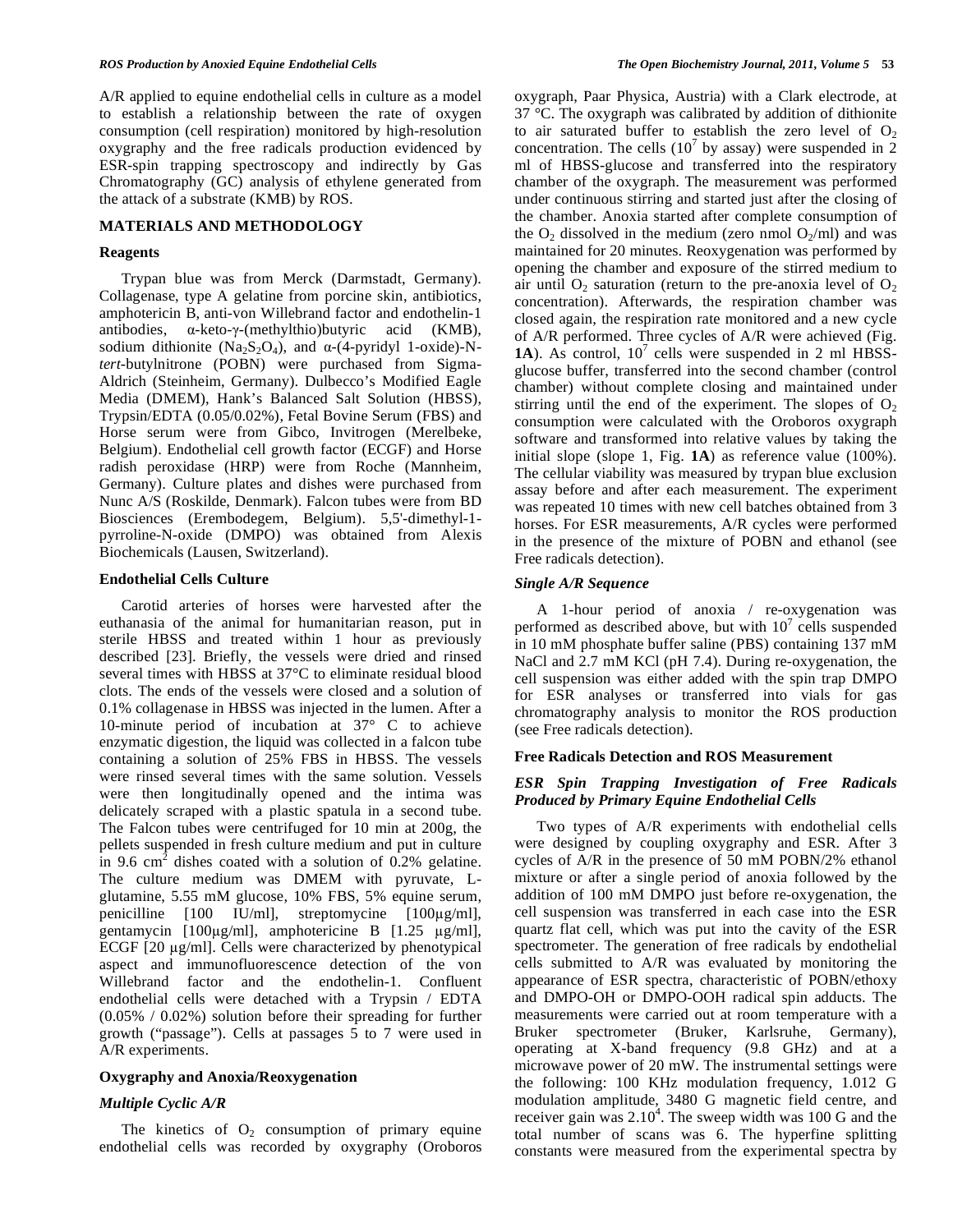A/R applied to equine endothelial cells in culture as a model to establish a relationship between the rate of oxygen consumption (cell respiration) monitored by high-resolution oxygraphy and the free radicals production evidenced by ESR-spin trapping spectroscopy and indirectly by Gas Chromatography (GC) analysis of ethylene generated from the attack of a substrate (KMB) by ROS.

# **MATERIALS AND METHODOLOGY**

#### **Reagents**

 Trypan blue was from Merck (Darmstadt, Germany). Collagenase, type A gelatine from porcine skin, antibiotics, amphotericin B, anti-von Willebrand factor and endothelin-1 antibodies,  $\alpha$ -keto- $\gamma$ -(methylthio)butyric acid (KMB), sodium dithionite (Na<sub>2</sub>S<sub>2</sub>O<sub>4</sub>), and  $\alpha$ -(4-pyridyl 1-oxide)-N*tert*-butylnitrone (POBN) were purchased from Sigma-Aldrich (Steinheim, Germany). Dulbecco's Modified Eagle Media (DMEM), Hank's Balanced Salt Solution (HBSS), Trypsin/EDTA (0.05/0.02%), Fetal Bovine Serum (FBS) and Horse serum were from Gibco, Invitrogen (Merelbeke, Belgium). Endothelial cell growth factor (ECGF) and Horse radish peroxidase (HRP) were from Roche (Mannheim, Germany). Culture plates and dishes were purchased from Nunc A/S (Roskilde, Denmark). Falcon tubes were from BD Biosciences (Erembodegem, Belgium). 5,5'-dimethyl-1 pyrroline-N-oxide (DMPO) was obtained from Alexis Biochemicals (Lausen, Switzerland).

#### **Endothelial Cells Culture**

 Carotid arteries of horses were harvested after the euthanasia of the animal for humanitarian reason, put in sterile HBSS and treated within 1 hour as previously described [23]. Briefly, the vessels were dried and rinsed several times with HBSS at 37°C to eliminate residual blood clots. The ends of the vessels were closed and a solution of 0.1% collagenase in HBSS was injected in the lumen. After a 10-minute period of incubation at 37° C to achieve enzymatic digestion, the liquid was collected in a falcon tube containing a solution of 25% FBS in HBSS. The vessels were rinsed several times with the same solution. Vessels were then longitudinally opened and the intima was delicately scraped with a plastic spatula in a second tube. The Falcon tubes were centrifuged for 10 min at 200g, the pellets suspended in fresh culture medium and put in culture in 9.6 cm<sup>2</sup> dishes coated with a solution of 0.2% gelatine. The culture medium was DMEM with pyruvate, Lglutamine, 5.55 mM glucose, 10% FBS, 5% equine serum, penicilline  $[100 \quad \text{IU/ml}]$ , streptomycine  $[100\mu\text{g/ml}]$ , gentamycin [ $100\mu$ g/ml], amphotericine B [ $1.25 \mu$ g/ml], ECGF [20 µg/ml]. Cells were characterized by phenotypical aspect and immunofluorescence detection of the von Willebrand factor and the endothelin-1. Confluent endothelial cells were detached with a Trypsin / EDTA (0.05% / 0.02%) solution before their spreading for further growth ("passage"). Cells at passages 5 to 7 were used in A/R experiments.

### **Oxygraphy and Anoxia/Reoxygenation**

## *Multiple Cyclic A/R*

The kinetics of  $O_2$  consumption of primary equine endothelial cells was recorded by oxygraphy (Oroboros oxygraph, Paar Physica, Austria) with a Clark electrode, at 37 °C. The oxygraph was calibrated by addition of dithionite to air saturated buffer to establish the zero level of  $O<sub>2</sub>$ concentration. The cells (10<sup>7</sup> by assay) were suspended in  $\overline{2}$ ml of HBSS-glucose and transferred into the respiratory chamber of the oxygraph. The measurement was performed under continuous stirring and started just after the closing of the chamber. Anoxia started after complete consumption of the  $O_2$  dissolved in the medium (zero nmol  $O_2$ /ml) and was maintained for 20 minutes. Reoxygenation was performed by opening the chamber and exposure of the stirred medium to air until  $O_2$  saturation (return to the pre-anoxia level of  $O_2$ ) concentration). Afterwards, the respiration chamber was closed again, the respiration rate monitored and a new cycle of A/R performed. Three cycles of A/R were achieved (Fig. 1A). As control,  $10^7$  cells were suspended in 2 ml HBSSglucose buffer, transferred into the second chamber (control chamber) without complete closing and maintained under stirring until the end of the experiment. The slopes of  $O_2$ consumption were calculated with the Oroboros oxygraph software and transformed into relative values by taking the initial slope (slope 1, Fig. **1A**) as reference value (100%). The cellular viability was measured by trypan blue exclusion assay before and after each measurement. The experiment was repeated 10 times with new cell batches obtained from 3 horses. For ESR measurements, A/R cycles were performed in the presence of the mixture of POBN and ethanol (see Free radicals detection).

## *Single A/R Sequence*

 A 1-hour period of anoxia / re-oxygenation was performed as described above, but with  $10<sup>7</sup>$  cells suspended in 10 mM phosphate buffer saline (PBS) containing 137 mM NaCl and 2.7 mM KCl (pH 7.4). During re-oxygenation, the cell suspension was either added with the spin trap DMPO for ESR analyses or transferred into vials for gas chromatography analysis to monitor the ROS production (see Free radicals detection).

#### **Free Radicals Detection and ROS Measurement**

# *ESR Spin Trapping Investigation of Free Radicals Produced by Primary Equine Endothelial Cells*

 Two types of A/R experiments with endothelial cells were designed by coupling oxygraphy and ESR. After 3 cycles of A/R in the presence of 50 mM POBN/2% ethanol mixture or after a single period of anoxia followed by the addition of 100 mM DMPO just before re-oxygenation, the cell suspension was transferred in each case into the ESR quartz flat cell, which was put into the cavity of the ESR spectrometer. The generation of free radicals by endothelial cells submitted to A/R was evaluated by monitoring the appearance of ESR spectra, characteristic of POBN/ethoxy and DMPO-OH or DMPO-OOH radical spin adducts. The measurements were carried out at room temperature with a Bruker spectrometer (Bruker, Karlsruhe, Germany), operating at X-band frequency (9.8 GHz) and at a microwave power of 20 mW. The instrumental settings were the following: 100 KHz modulation frequency, 1.012 G modulation amplitude, 3480 G magnetic field centre, and receiver gain was  $2.10<sup>4</sup>$ . The sweep width was 100 G and the total number of scans was 6. The hyperfine splitting constants were measured from the experimental spectra by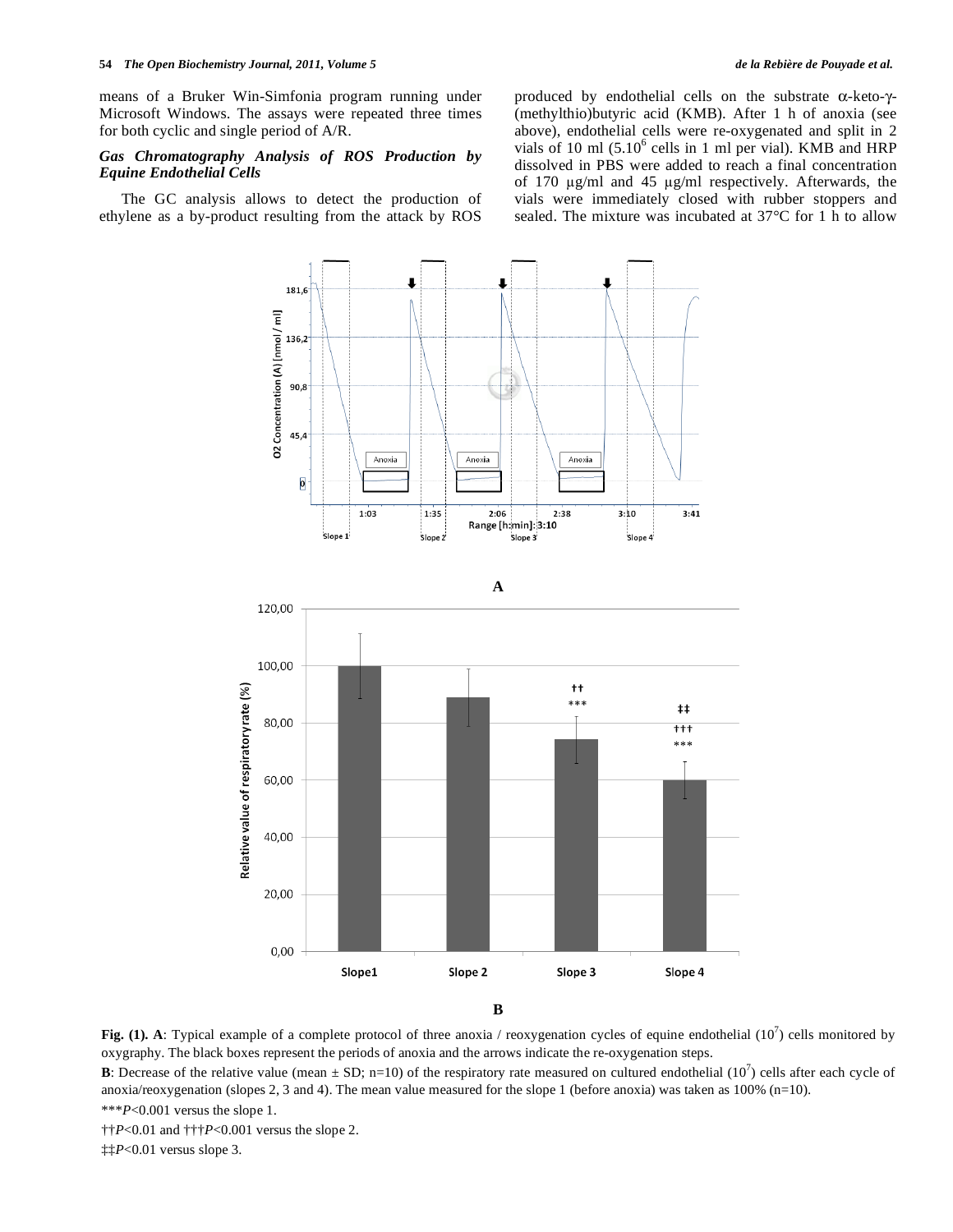means of a Bruker Win-Simfonia program running under Microsoft Windows. The assays were repeated three times for both cyclic and single period of A/R.

### *Gas Chromatography Analysis of ROS Production by Equine Endothelial Cells*

 The GC analysis allows to detect the production of ethylene as a by-product resulting from the attack by ROS

produced by endothelial cells on the substrate  $\alpha$ -keto- $\gamma$ -(methylthio)butyric acid (KMB). After 1 h of anoxia (see above), endothelial cells were re-oxygenated and split in 2 vials of 10 ml  $(5.10^6 \text{ cells in 1 ml per vial})$ . KMB and HRP dissolved in PBS were added to reach a final concentration of 170  $\mu$ g/ml and 45  $\mu$ g/ml respectively. Afterwards, the vials were immediately closed with rubber stoppers and sealed. The mixture was incubated at 37°C for 1 h to allow



Fig. (1). A: Typical example of a complete protocol of three anoxia / reoxygenation cycles of equine endothelial  $(10^7)$  cells monitored by oxygraphy. The black boxes represent the periods of anoxia and the arrows indicate the re-oxygenation steps.

**B**: Decrease of the relative value (mean  $\pm$  SD; n=10) of the respiratory rate measured on cultured endothelial  $(10^7)$  cells after each cycle of anoxia/reoxygenation (slopes 2, 3 and 4). The mean value measured for the slope 1 (before anoxia) was taken as  $100\%$  (n=10). \*\*\**P*<0.001 versus the slope 1.

††*P*<0.01 and †††*P*<0.001 versus the slope 2.

‡‡*P*<0.01 versus slope 3.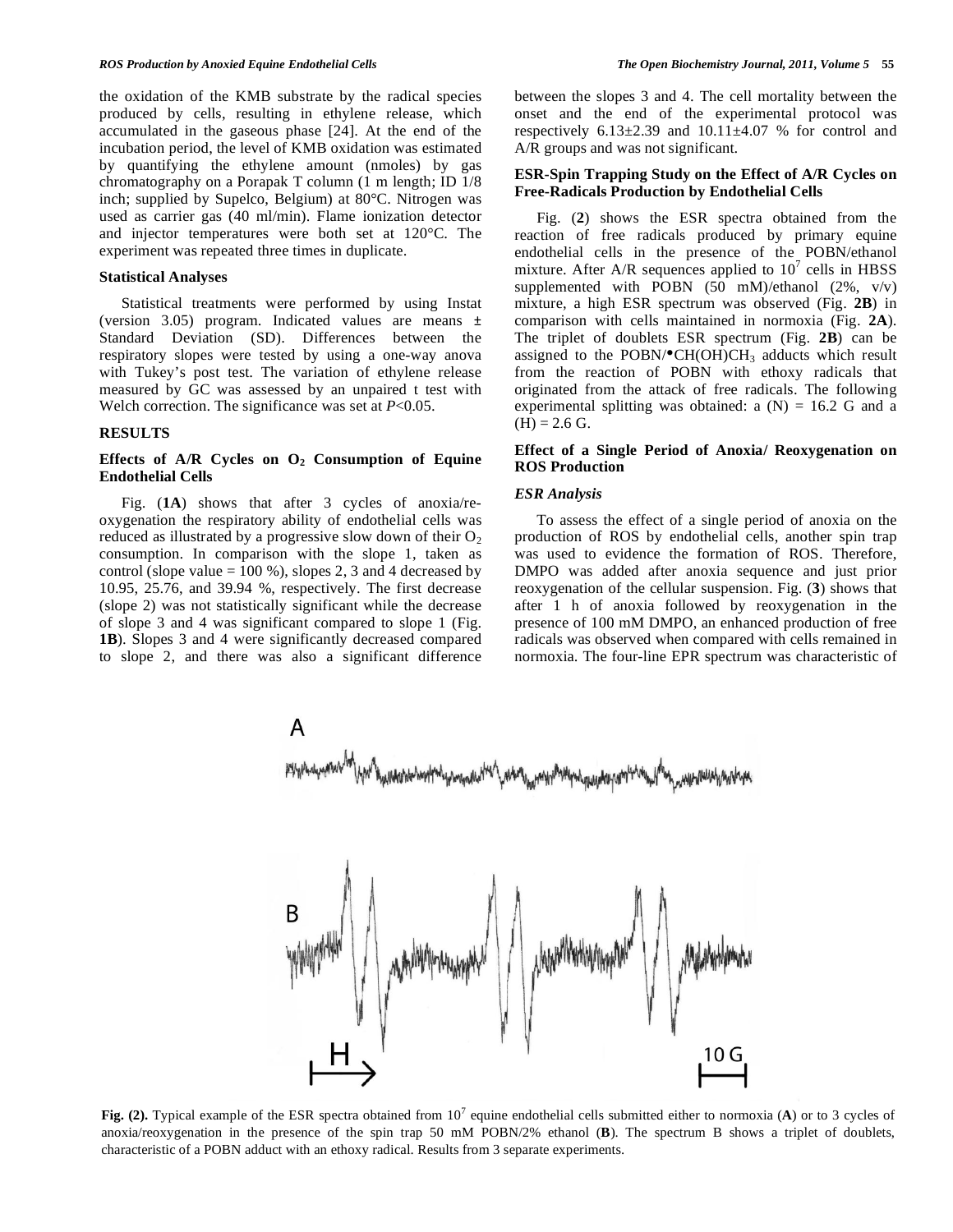the oxidation of the KMB substrate by the radical species produced by cells, resulting in ethylene release, which accumulated in the gaseous phase [24]. At the end of the incubation period, the level of KMB oxidation was estimated by quantifying the ethylene amount (nmoles) by gas chromatography on a Porapak T column (1 m length; ID 1/8 inch; supplied by Supelco, Belgium) at 80°C. Nitrogen was used as carrier gas (40 ml/min). Flame ionization detector and injector temperatures were both set at 120°C. The experiment was repeated three times in duplicate.

#### **Statistical Analyses**

 Statistical treatments were performed by using Instat (version 3.05) program. Indicated values are means  $\pm$ Standard Deviation (SD). Differences between the respiratory slopes were tested by using a one-way anova with Tukey's post test. The variation of ethylene release measured by GC was assessed by an unpaired t test with Welch correction. The significance was set at *P*<0.05.

## **RESULTS**

# Effects of A/R Cycles on O<sub>2</sub> Consumption of Equine **Endothelial Cells**

 Fig. (**1A**) shows that after 3 cycles of anoxia/reoxygenation the respiratory ability of endothelial cells was reduced as illustrated by a progressive slow down of their  $O_2$ consumption. In comparison with the slope 1, taken as control (slope value  $= 100 %$ ), slopes 2, 3 and 4 decreased by 10.95, 25.76, and 39.94 %, respectively. The first decrease (slope 2) was not statistically significant while the decrease of slope 3 and 4 was significant compared to slope 1 (Fig. **1B**). Slopes 3 and 4 were significantly decreased compared to slope 2, and there was also a significant difference between the slopes 3 and 4. The cell mortality between the onset and the end of the experimental protocol was respectively  $6.13\pm2.39$  and  $10.11\pm4.07$  % for control and A/R groups and was not significant.

# **ESR-Spin Trapping Study on the Effect of A/R Cycles on Free-Radicals Production by Endothelial Cells**

 Fig. (**2**) shows the ESR spectra obtained from the reaction of free radicals produced by primary equine endothelial cells in the presence of the POBN/ethanol mixture. After A/R sequences applied to  $10^7$  cells in HBSS supplemented with POBN  $(50 \text{ mM})$ /ethanol  $(2\%, \text{ v/v})$ mixture, a high ESR spectrum was observed (Fig. **2B**) in comparison with cells maintained in normoxia (Fig. **2A**). The triplet of doublets ESR spectrum (Fig. **2B**) can be assigned to the POBN/ $\bullet$ CH(OH)CH<sub>3</sub> adducts which result from the reaction of POBN with ethoxy radicals that originated from the attack of free radicals. The following experimental splitting was obtained: a  $(N) = 16.2$  G and a  $(H) = 2.6$  G.

# **Effect of a Single Period of Anoxia/ Reoxygenation on ROS Production**

#### *ESR Analysis*

 To assess the effect of a single period of anoxia on the production of ROS by endothelial cells, another spin trap was used to evidence the formation of ROS. Therefore, DMPO was added after anoxia sequence and just prior reoxygenation of the cellular suspension. Fig. (**3**) shows that after 1 h of anoxia followed by reoxygenation in the presence of 100 mM DMPO, an enhanced production of free radicals was observed when compared with cells remained in normoxia. The four-line EPR spectrum was characteristic of



Fig. (2). Typical example of the ESR spectra obtained from 10<sup>7</sup> equine endothelial cells submitted either to normoxia (A) or to 3 cycles of anoxia/reoxygenation in the presence of the spin trap 50 mM POBN/2% ethanol (**B**). The spectrum B shows a triplet of doublets, characteristic of a POBN adduct with an ethoxy radical. Results from 3 separate experiments.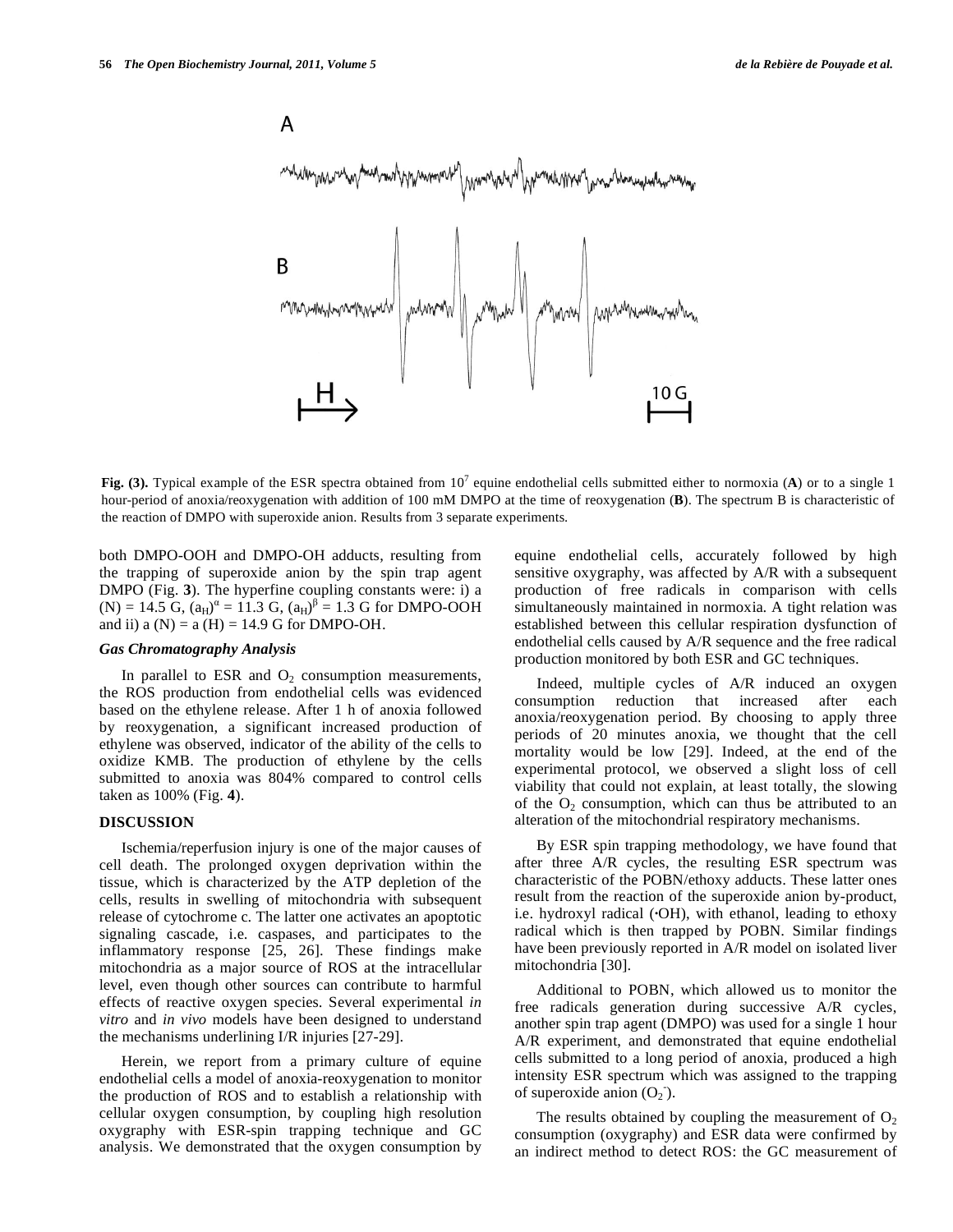

**Fig. (3).** Typical example of the ESR spectra obtained from  $10^7$  equine endothelial cells submitted either to normoxia (A) or to a single 1 hour-period of anoxia/reoxygenation with addition of 100 mM DMPO at the time of reoxygenation (**B**). The spectrum B is characteristic of the reaction of DMPO with superoxide anion. Results from 3 separate experiments.

both DMPO-OOH and DMPO-OH adducts, resulting from the trapping of superoxide anion by the spin trap agent DMPO (Fig. **3**). The hyperfine coupling constants were: i) a  $(N) = 14.5 \text{ G}, (a_H)^{\alpha} = 11.3 \text{ G}, (a_H)^{\beta} = 1.3 \text{ G}$  for DMPO-OOH and ii)  $a(N) = a(H) = 14.9$  G for DMPO-OH.

#### *Gas Chromatography Analysis*

In parallel to ESR and  $O_2$  consumption measurements, the ROS production from endothelial cells was evidenced based on the ethylene release. After 1 h of anoxia followed by reoxygenation, a significant increased production of ethylene was observed, indicator of the ability of the cells to oxidize KMB. The production of ethylene by the cells submitted to anoxia was 804% compared to control cells taken as 100% (Fig. **4**).

# **DISCUSSION**

 Ischemia/reperfusion injury is one of the major causes of cell death. The prolonged oxygen deprivation within the tissue, which is characterized by the ATP depletion of the cells, results in swelling of mitochondria with subsequent release of cytochrome c. The latter one activates an apoptotic signaling cascade, i.e. caspases, and participates to the inflammatory response [25, 26]. These findings make mitochondria as a major source of ROS at the intracellular level, even though other sources can contribute to harmful effects of reactive oxygen species. Several experimental *in vitro* and *in vivo* models have been designed to understand the mechanisms underlining I/R injuries [27-29].

 Herein, we report from a primary culture of equine endothelial cells a model of anoxia-reoxygenation to monitor the production of ROS and to establish a relationship with cellular oxygen consumption, by coupling high resolution oxygraphy with ESR-spin trapping technique and GC analysis. We demonstrated that the oxygen consumption by equine endothelial cells, accurately followed by high sensitive oxygraphy, was affected by A/R with a subsequent production of free radicals in comparison with cells simultaneously maintained in normoxia. A tight relation was established between this cellular respiration dysfunction of endothelial cells caused by A/R sequence and the free radical production monitored by both ESR and GC techniques.

 Indeed, multiple cycles of A/R induced an oxygen consumption reduction that increased after each anoxia/reoxygenation period. By choosing to apply three periods of 20 minutes anoxia, we thought that the cell mortality would be low [29]. Indeed, at the end of the experimental protocol, we observed a slight loss of cell viability that could not explain, at least totally, the slowing of the  $O_2$  consumption, which can thus be attributed to an alteration of the mitochondrial respiratory mechanisms.

 By ESR spin trapping methodology, we have found that after three A/R cycles, the resulting ESR spectrum was characteristic of the POBN/ethoxy adducts. These latter ones result from the reaction of the superoxide anion by-product, i.e. hydroxyl radical (**·**OH), with ethanol, leading to ethoxy radical which is then trapped by POBN. Similar findings have been previously reported in A/R model on isolated liver mitochondria [30].

 Additional to POBN, which allowed us to monitor the free radicals generation during successive A/R cycles, another spin trap agent (DMPO) was used for a single 1 hour A/R experiment, and demonstrated that equine endothelial cells submitted to a long period of anoxia, produced a high intensity ESR spectrum which was assigned to the trapping of superoxide anion  $(O_2)$ .

The results obtained by coupling the measurement of  $O_2$ consumption (oxygraphy) and ESR data were confirmed by an indirect method to detect ROS: the GC measurement of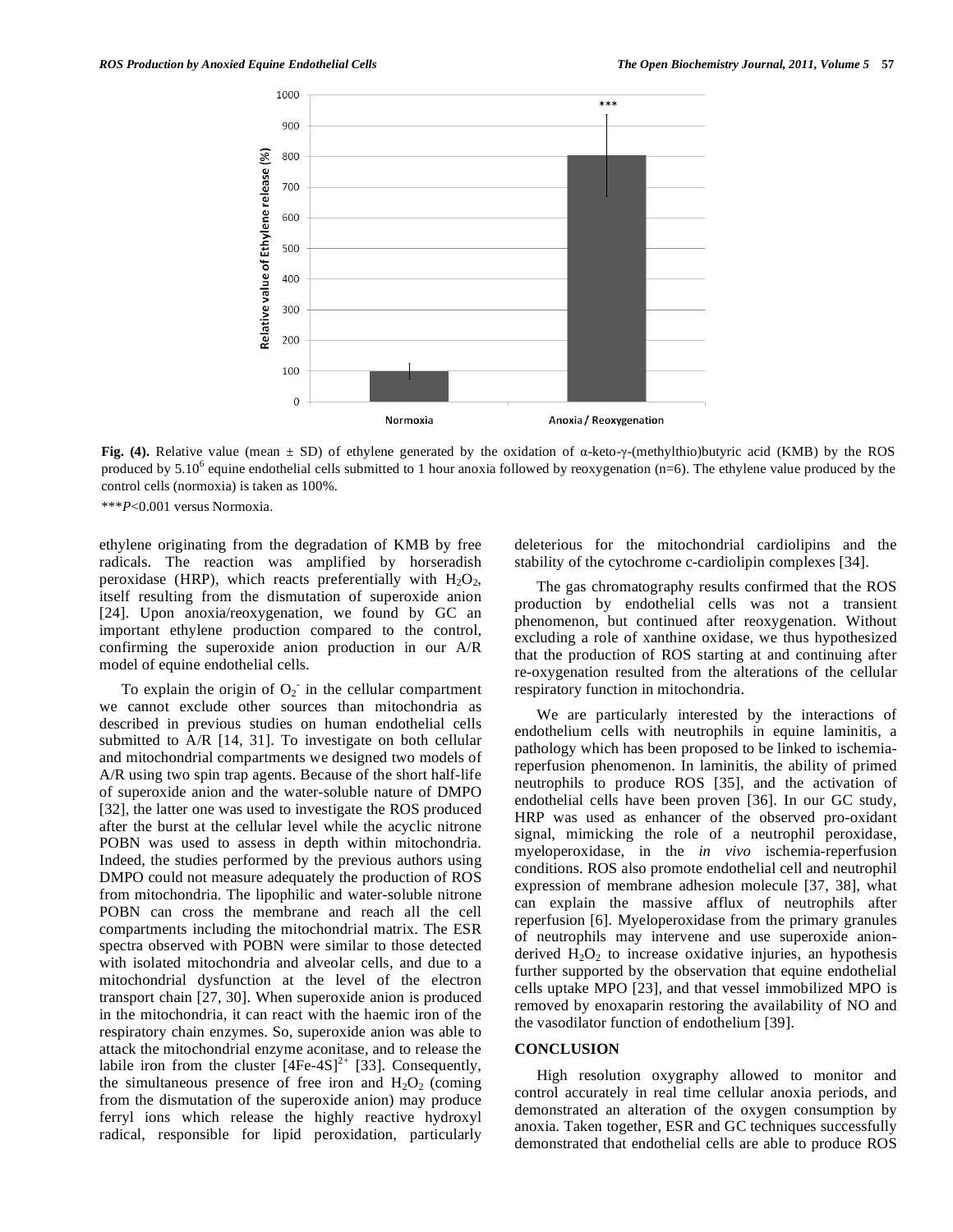

Fig. (4). Relative value (mean  $\pm$  SD) of ethylene generated by the oxidation of  $\alpha$ -keto- $\gamma$ -(methylthio)butyric acid (KMB) by the ROS produced by  $5.10^6$  equine endothelial cells submitted to 1 hour anoxia followed by reoxygenation (n=6). The ethylene value produced by the control cells (normoxia) is taken as 100%.

\*\*\**P*<0.001 versus Normoxia.

ethylene originating from the degradation of KMB by free radicals. The reaction was amplified by horseradish peroxidase (HRP), which reacts preferentially with  $H_2O_2$ , itself resulting from the dismutation of superoxide anion [24]. Upon anoxia/reoxygenation, we found by GC an important ethylene production compared to the control, confirming the superoxide anion production in our A/R model of equine endothelial cells.

To explain the origin of  $O_2$  in the cellular compartment we cannot exclude other sources than mitochondria as described in previous studies on human endothelial cells submitted to A/R [14, 31]. To investigate on both cellular and mitochondrial compartments we designed two models of A/R using two spin trap agents. Because of the short half-life of superoxide anion and the water-soluble nature of DMPO [32], the latter one was used to investigate the ROS produced after the burst at the cellular level while the acyclic nitrone POBN was used to assess in depth within mitochondria. Indeed, the studies performed by the previous authors using DMPO could not measure adequately the production of ROS from mitochondria. The lipophilic and water-soluble nitrone POBN can cross the membrane and reach all the cell compartments including the mitochondrial matrix. The ESR spectra observed with POBN were similar to those detected with isolated mitochondria and alveolar cells, and due to a mitochondrial dysfunction at the level of the electron transport chain [27, 30]. When superoxide anion is produced in the mitochondria, it can react with the haemic iron of the respiratory chain enzymes. So, superoxide anion was able to attack the mitochondrial enzyme aconitase, and to release the labile iron from the cluster  $[4Fe-4S]^2$ <sup>+</sup> [33]. Consequently, the simultaneous presence of free iron and  $H_2O_2$  (coming from the dismutation of the superoxide anion) may produce ferryl ions which release the highly reactive hydroxyl radical, responsible for lipid peroxidation, particularly

deleterious for the mitochondrial cardiolipins and the stability of the cytochrome c-cardiolipin complexes [34].

 The gas chromatography results confirmed that the ROS production by endothelial cells was not a transient phenomenon, but continued after reoxygenation. Without excluding a role of xanthine oxidase, we thus hypothesized that the production of ROS starting at and continuing after re-oxygenation resulted from the alterations of the cellular respiratory function in mitochondria.

 We are particularly interested by the interactions of endothelium cells with neutrophils in equine laminitis, a pathology which has been proposed to be linked to ischemiareperfusion phenomenon. In laminitis, the ability of primed neutrophils to produce ROS [35], and the activation of endothelial cells have been proven [36]. In our GC study, HRP was used as enhancer of the observed pro-oxidant signal, mimicking the role of a neutrophil peroxidase, myeloperoxidase, in the *in vivo* ischemia-reperfusion conditions. ROS also promote endothelial cell and neutrophil expression of membrane adhesion molecule [37, 38], what can explain the massive afflux of neutrophils after reperfusion [6]. Myeloperoxidase from the primary granules of neutrophils may intervene and use superoxide anionderived  $H_2O_2$  to increase oxidative injuries, an hypothesis further supported by the observation that equine endothelial cells uptake MPO [23], and that vessel immobilized MPO is removed by enoxaparin restoring the availability of NO and the vasodilator function of endothelium [39].

#### **CONCLUSION**

 High resolution oxygraphy allowed to monitor and control accurately in real time cellular anoxia periods, and demonstrated an alteration of the oxygen consumption by anoxia. Taken together, ESR and GC techniques successfully demonstrated that endothelial cells are able to produce ROS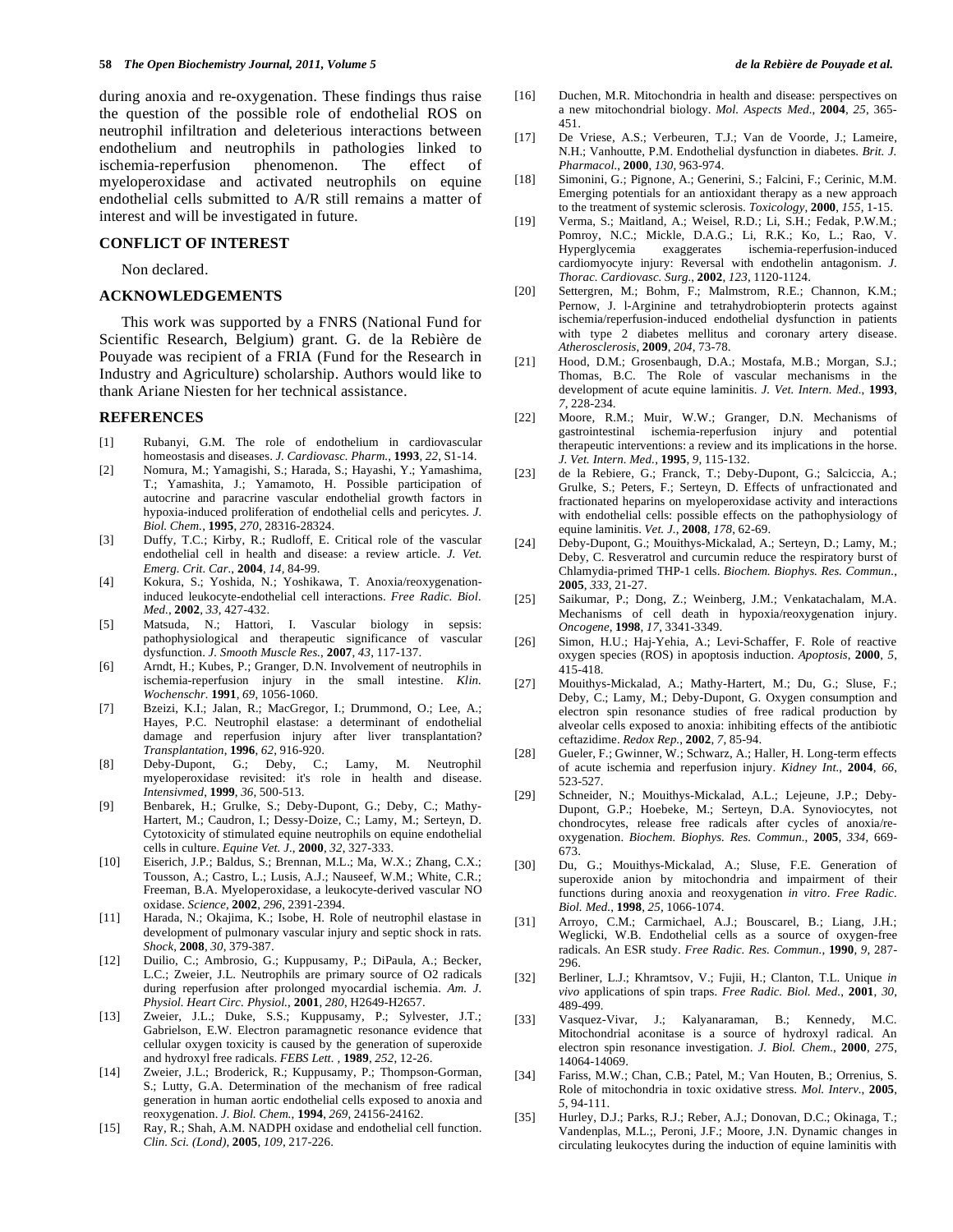during anoxia and re-oxygenation. These findings thus raise the question of the possible role of endothelial ROS on neutrophil infiltration and deleterious interactions between endothelium and neutrophils in pathologies linked to ischemia-reperfusion phenomenon. The effect of myeloperoxidase and activated neutrophils on equine endothelial cells submitted to A/R still remains a matter of interest and will be investigated in future.

#### **CONFLICT OF INTEREST**

Non declared.

# **ACKNOWLEDGEMENTS**

 This work was supported by a FNRS (National Fund for Scientific Research, Belgium) grant. G. de la Rebière de Pouyade was recipient of a FRIA (Fund for the Research in Industry and Agriculture) scholarship. Authors would like to thank Ariane Niesten for her technical assistance.

#### **REFERENCES**

- [1] Rubanyi, G.M. The role of endothelium in cardiovascular homeostasis and diseases. *J. Cardiovasc. Pharm.*, **1993**, *22*, S1-14.
- [2] Nomura, M.; Yamagishi, S.; Harada, S.; Hayashi, Y.; Yamashima, T.; Yamashita, J.; Yamamoto, H. Possible participation of autocrine and paracrine vascular endothelial growth factors in hypoxia-induced proliferation of endothelial cells and pericytes. *J. Biol. Chem.*, **1995**, *270*, 28316-28324.
- [3] Duffy, T.C.; Kirby, R.; Rudloff, E. Critical role of the vascular endothelial cell in health and disease: a review article. *J. Vet. Emerg. Crit. Car.*, **2004**, *14*, 84-99.
- [4] Kokura, S.; Yoshida, N.; Yoshikawa, T. Anoxia/reoxygenationinduced leukocyte-endothelial cell interactions. *Free Radic. Biol. Med.*, **2002**, *33*, 427-432.
- [5] Matsuda, N.; Hattori, I. Vascular biology in sepsis: pathophysiological and therapeutic significance of vascular dysfunction. *J. Smooth Muscle Res.*, **2007**, *43*, 117-137.
- [6] Arndt, H.; Kubes, P.; Granger, D.N. Involvement of neutrophils in ischemia-reperfusion injury in the small intestine. *Klin. Wochenschr.* **1991**, *69*, 1056-1060.
- [7] Bzeizi, K.I.; Jalan, R.; MacGregor, I.; Drummond, O.; Lee, A.; Hayes, P.C. Neutrophil elastase: a determinant of endothelial damage and reperfusion injury after liver transplantation? *Transplantation*, **1996**, *62*, 916-920.
- [8] Deby-Dupont, G.; Deby, C.; Lamy, M. Neutrophil myeloperoxidase revisited: it's role in health and disease. *Intensivmed*, **1999**, *36*, 500-513.
- [9] Benbarek, H.; Grulke, S.; Deby-Dupont, G.; Deby, C.; Mathy-Hartert, M.; Caudron, I.; Dessy-Doize, C.; Lamy, M.; Serteyn, D. Cytotoxicity of stimulated equine neutrophils on equine endothelial cells in culture. *Equine Vet. J.*, **2000**, *32*, 327-333.
- [10] Eiserich, J.P.; Baldus, S.; Brennan, M.L.; Ma, W.X.; Zhang, C.X.; Tousson, A.; Castro, L.; Lusis, A.J.; Nauseef, W.M.; White, C.R.; Freeman, B.A. Myeloperoxidase, a leukocyte-derived vascular NO oxidase. *Science*, **2002**, *296*, 2391-2394.
- [11] Harada, N.; Okajima, K.; Isobe, H. Role of neutrophil elastase in development of pulmonary vascular injury and septic shock in rats. *Shock*, **2008**, *30*, 379-387.
- [12] Duilio, C.; Ambrosio, G.; Kuppusamy, P.; DiPaula, A.; Becker, L.C.; Zweier, J.L. Neutrophils are primary source of O2 radicals during reperfusion after prolonged myocardial ischemia. *Am. J. Physiol. Heart Circ. Physiol.*, **2001**, *280*, H2649-H2657.
- [13] Zweier, J.L.; Duke, S.S.; Kuppusamy, P.; Sylvester, J.T.; Gabrielson, E.W. Electron paramagnetic resonance evidence that cellular oxygen toxicity is caused by the generation of superoxide and hydroxyl free radicals. *FEBS Lett. ,* **1989**, *252*, 12-26.
- [14] Zweier, J.L.; Broderick, R.; Kuppusamy, P.; Thompson-Gorman, S.; Lutty, G.A. Determination of the mechanism of free radical generation in human aortic endothelial cells exposed to anoxia and reoxygenation. *J. Biol. Chem.*, **1994**, *269*, 24156-24162.
- [15] Ray, R.; Shah, A.M. NADPH oxidase and endothelial cell function. *Clin. Sci. (Lond)*, **2005**, *109*, 217-226.
- [16] Duchen, M.R. Mitochondria in health and disease: perspectives on a new mitochondrial biology. *Mol. Aspects Med.*, **2004**, *25*, 365- 451.
- [17] De Vriese, A.S.; Verbeuren, T.J.; Van de Voorde, J.; Lameire, N.H.; Vanhoutte, P.M. Endothelial dysfunction in diabetes. *Brit. J. Pharmacol.*, **2000**, *130*, 963-974.
- [18] Simonini, G.; Pignone, A.; Generini, S.; Falcini, F.; Cerinic, M.M. Emerging potentials for an antioxidant therapy as a new approach to the treatment of systemic sclerosis. *Toxicology*, **2000**, *155*, 1-15.
- [19] Verma, S.; Maitland, A.; Weisel, R.D.; Li, S.H.; Fedak, P.W.M.; Pomroy, N.C.; Mickle, D.A.G.; Li, R.K.; Ko, L.; Rao, V. Hyperglycemia exaggerates ischemia-reperfusion-induced cardiomyocyte injury: Reversal with endothelin antagonism. *J. Thorac. Cardiovasc. Surg.*, **2002**, *123*, 1120-1124.
- [20] Settergren, M.; Bohm, F.; Malmstrom, R.E.; Channon, K.M.; Pernow, J. l-Arginine and tetrahydrobiopterin protects against ischemia/reperfusion-induced endothelial dysfunction in patients with type 2 diabetes mellitus and coronary artery disease. *Atherosclerosis*, **2009**, *204*, 73-78.
- [21] Hood, D.M.; Grosenbaugh, D.A.; Mostafa, M.B.; Morgan, S.J.; Thomas, B.C. The Role of vascular mechanisms in the development of acute equine laminitis. *J. Vet. Intern. Med.*, **1993**, *7*, 228-234.
- [22] Moore, R.M.; Muir, W.W.; Granger, D.N. Mechanisms of gastrointestinal ischemia-reperfusion injury and potential therapeutic interventions: a review and its implications in the horse. *J. Vet. Intern. Med.*, **1995**, *9*, 115-132.
- [23] de la Rebiere, G.; Franck, T.; Deby-Dupont, G.; Salciccia, A.; Grulke, S.; Peters, F.; Serteyn, D. Effects of unfractionated and fractionated heparins on myeloperoxidase activity and interactions with endothelial cells: possible effects on the pathophysiology of equine laminitis. *Vet. J.*, **2008**, *178*, 62-69.
- [24] Deby-Dupont, G.; Mouithys-Mickalad, A.; Serteyn, D.; Lamy, M.; Deby, C. Resveratrol and curcumin reduce the respiratory burst of Chlamydia-primed THP-1 cells. *Biochem. Biophys. Res. Commun.*, **2005**, *333*, 21-27.
- [25]Saikumar, P.; Dong, Z.; Weinberg, J.M.; Venkatachalam, M.A. Mechanisms of cell death in hypoxia/reoxygenation injury. *Oncogene*, **1998**, *17*, 3341-3349.
- [26] Simon, H.U.; Haj-Yehia, A.; Levi-Schaffer, F. Role of reactive oxygen species (ROS) in apoptosis induction. *Apoptosis*, **2000**, *5*, 415-418.
- [27] Mouithys-Mickalad, A.; Mathy-Hartert, M.; Du, G.; Sluse, F.; Deby, C.; Lamy, M.; Deby-Dupont, G. Oxygen consumption and electron spin resonance studies of free radical production by alveolar cells exposed to anoxia: inhibiting effects of the antibiotic ceftazidime. *Redox Rep.*, **2002**, *7*, 85-94.
- [28] Gueler, F.; Gwinner, W.; Schwarz, A.; Haller, H. Long-term effects of acute ischemia and reperfusion injury. *Kidney Int.*, **2004**, *66*, 523-527.
- [29] Schneider, N.; Mouithys-Mickalad, A.L.; Lejeune, J.P.; Deby-Dupont, G.P.; Hoebeke, M.; Serteyn, D.A. Synoviocytes, not chondrocytes, release free radicals after cycles of anoxia/reoxygenation. *Biochem. Biophys. Res. Commun.*, **2005**, *334*, 669- 673.
- [30] Du, G.; Mouithys-Mickalad, A.; Sluse, F.E. Generation of superoxide anion by mitochondria and impairment of their functions during anoxia and reoxygenation *in vitro*. *Free Radic. Biol. Med.*, **1998**, *25*, 1066-1074.
- [31] Arroyo, C.M.; Carmichael, A.J.; Bouscarel, B.; Liang, J.H.; Weglicki, W.B. Endothelial cells as a source of oxygen-free radicals. An ESR study. *Free Radic. Res. Commun.*, **1990**, *9*, 287- 296.
- [32] Berliner, L.J.; Khramtsov, V.; Fujii, H.; Clanton, T.L. Unique *in vivo* applications of spin traps. *Free Radic. Biol. Med.*, **2001**, *30*, 489-499.
- [33] Vasquez-Vivar, J.; Kalyanaraman, B.; Kennedy, M.C. Mitochondrial aconitase is a source of hydroxyl radical. An electron spin resonance investigation. *J. Biol. Chem.*, **2000**, *275*, 14064-14069.
- [34] Fariss, M.W.; Chan, C.B.; Patel, M.; Van Houten, B.; Orrenius, S. Role of mitochondria in toxic oxidative stress. *Mol. Interv.*, **2005**, *5*, 94-111.
- [35] Hurley, D.J.; Parks, R.J.; Reber, A.J.; Donovan, D.C.; Okinaga, T.; Vandenplas, M.L.;, Peroni, J.F.; Moore, J.N. Dynamic changes in circulating leukocytes during the induction of equine laminitis with